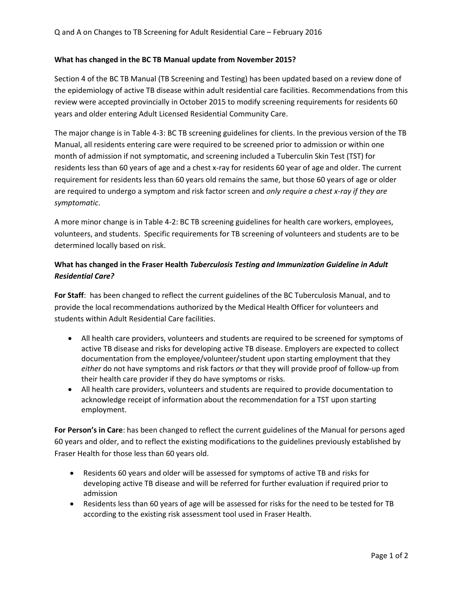## **What has changed in the BC TB Manual update from November 2015?**

Section 4 of the BC TB Manual (TB Screening and Testing) has been updated based on a review done of the epidemiology of active TB disease within adult residential care facilities. Recommendations from this review were accepted provincially in October 2015 to modify screening requirements for residents 60 years and older entering Adult Licensed Residential Community Care.

The major change is in Table 4-3: BC TB screening guidelines for clients. In the previous version of the TB Manual, all residents entering care were required to be screened prior to admission or within one month of admission if not symptomatic, and screening included a Tuberculin Skin Test (TST) for residents less than 60 years of age and a chest x-ray for residents 60 year of age and older. The current requirement for residents less than 60 years old remains the same, but those 60 years of age or older are required to undergo a symptom and risk factor screen and *only require a chest x-ray if they are symptomatic*.

A more minor change is in Table 4-2: BC TB screening guidelines for health care workers, employees, volunteers, and students. Specific requirements for TB screening of volunteers and students are to be determined locally based on risk.

## **What has changed in the Fraser Health** *Tuberculosis Testing and Immunization Guideline in Adult Residential Care?*

**For Staff**: has been changed to reflect the current guidelines of the BC Tuberculosis Manual, and to provide the local recommendations authorized by the Medical Health Officer for volunteers and students within Adult Residential Care facilities.

- All health care providers, volunteers and students are required to be screened for symptoms of active TB disease and risks for developing active TB disease. Employers are expected to collect documentation from the employee/volunteer/student upon starting employment that they *either* do not have symptoms and risk factors *or* that they will provide proof of follow-up from their health care provider if they do have symptoms or risks.
- All health care providers, volunteers and students are required to provide documentation to acknowledge receipt of information about the recommendation for a TST upon starting employment.

**For Person's in Care**: has been changed to reflect the current guidelines of the Manual for persons aged 60 years and older, and to reflect the existing modifications to the guidelines previously established by Fraser Health for those less than 60 years old.

- Residents 60 years and older will be assessed for symptoms of active TB and risks for developing active TB disease and will be referred for further evaluation if required prior to admission
- Residents less than 60 years of age will be assessed for risks for the need to be tested for TB according to the existing risk assessment tool used in Fraser Health.